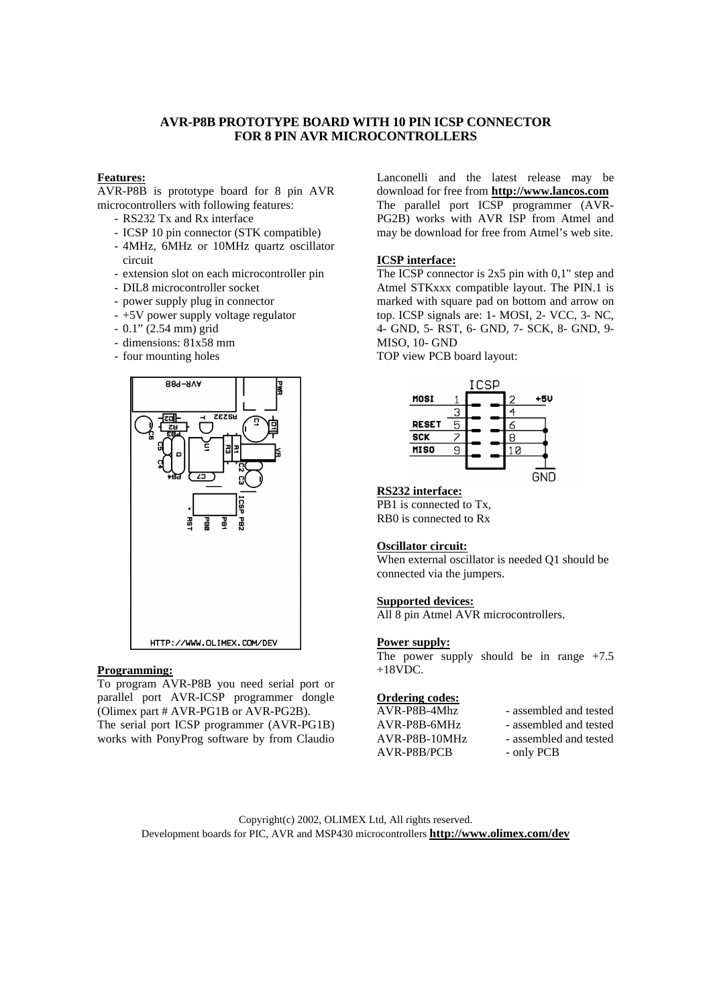## **AVR-P8B PROTOTYPE BOARD WITH 10 PIN ICSP CONNECTOR FOR 8 PIN AVR MICROCONTROLLERS**

# **Features:**

AVR-P8B is prototype board for 8 pin AVR microcontrollers with following features:

- RS232 Tx and Rx interface
- ICSP 10 pin connector (STK compatible)
- 4MHz, 6MHz or 10MHz quartz oscillator circuit
- extension slot on each microcontroller pin
- DIL8 microcontroller socket
- power supply plug in connector
- +5V power supply voltage regulator
- $0.1$ "  $(2.54 \text{ mm})$  grid
- dimensions: 81x58 mm
- four mounting holes



### **Programming:**

To program AVR-P8B you need serial port or parallel port AVR-ICSP programmer dongle (Olimex part # AVR-PG1B or AVR-PG2B). The serial port ICSP programmer (AVR-PG1B) works with PonyProg software by from Claudio

Lanconelli and the latest release may be download for free from **http://www.lancos.com** The parallel port ICSP programmer (AVR-PG2B) works with AVR ISP from Atmel and may be download for free from Atmel's web site.

# **ICSP interface:**

The ICSP connector is  $2x5$  pin with 0,1" step and Atmel STKxxx compatible layout. The PIN.1 is marked with square pad on bottom and arrow on top. ICSP signals are: 1- MOSI, 2- VCC, 3- NC, 4- GND, 5- RST, 6- GND, 7- SCK, 8- GND, 9- MISO, 10- GND

TOP view PCB board layout:



### **RS232 interface:**

PB<sub>1</sub> is connected to T<sub>x</sub>. RB0 is connected to Rx

#### **Oscillator circuit:**

When external oscillator is needed Q1 should be connected via the jumpers.

#### **Supported devices:**

All 8 pin Atmel AVR microcontrollers.

#### **Power supply:**

The power supply should be in range  $+7.5$  $+18VDC$ .

### **Ordering codes:**

| AVR-P8B-4Mhz  | - assembled and tested |
|---------------|------------------------|
| AVR-P8B-6MHz  | - assembled and tested |
| AVR-P8B-10MHz | - assembled and tested |
| AVR-P8B/PCB   | - only PCB             |

Copyright(c) 2002, OLIMEX Ltd, All rights reserved. Development boards for PIC, AVR and MSP430 microcontrollers **http://www.olimex.com/dev**